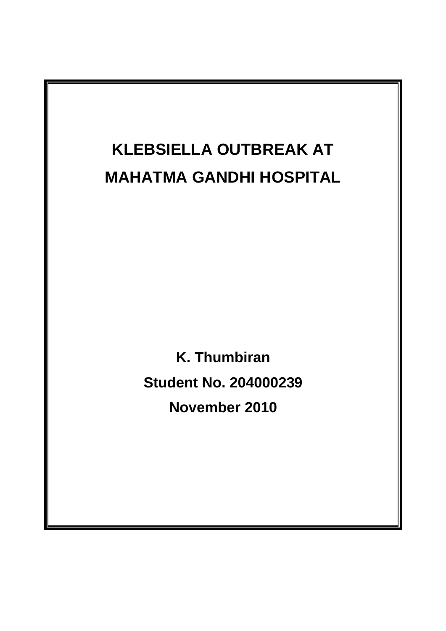

**K. Thumbiran Student No. 204000239 November 2010**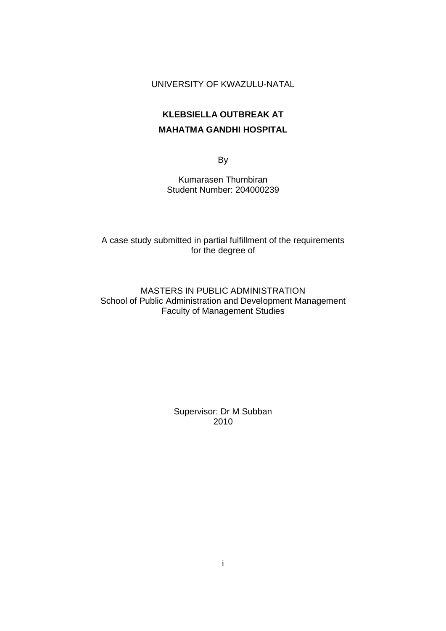#### UNIVERSITY OF KWAZULU-NATAL

# **KLEBSIELLA OUTBREAK AT MAHATMA GANDHI HOSPITAL**

By

Kumarasen Thumbiran Student Number: 204000239

A case study submitted in partial fulfillment of the requirements for the degree of

MASTERS IN PUBLIC ADMINISTRATION School of Public Administration and Development Management Faculty of Management Studies

> Supervisor: Dr M Subban 2010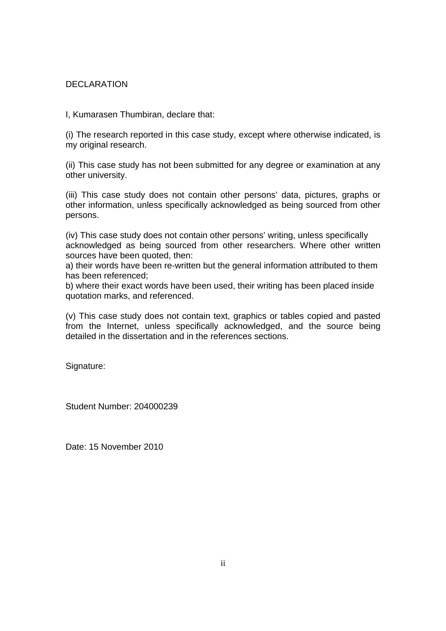#### **DECLARATION**

I, Kumarasen Thumbiran, declare that:

(i) The research reported in this case study, except where otherwise indicated, is my original research.

(ii) This case study has not been submitted for any degree or examination at any other university.

(iii) This case study does not contain other persons' data, pictures, graphs or other information, unless specifically acknowledged as being sourced from other persons.

(iv) This case study does not contain other persons' writing, unless specifically acknowledged as being sourced from other researchers. Where other written sources have been quoted, then:

a) their words have been re-written but the general information attributed to them has been referenced;

b) where their exact words have been used, their writing has been placed inside quotation marks, and referenced.

(v) This case study does not contain text, graphics or tables copied and pasted from the Internet, unless specifically acknowledged, and the source being detailed in the dissertation and in the references sections.

Signature:

Student Number: 204000239

Date: 15 November 2010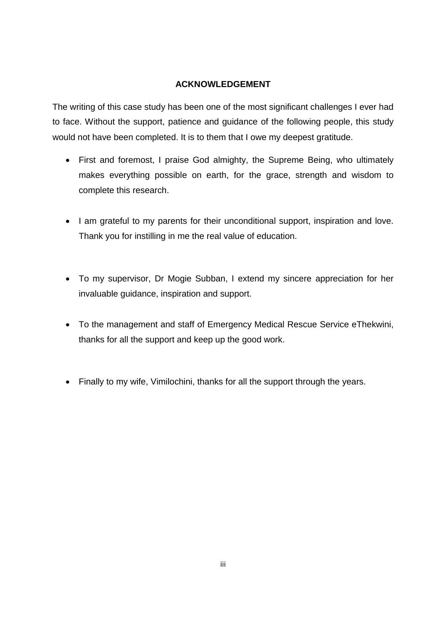#### **ACKNOWLEDGEMENT**

The writing of this case study has been one of the most significant challenges I ever had to face. Without the support, patience and guidance of the following people, this study would not have been completed. It is to them that I owe my deepest gratitude.

- First and foremost, I praise God almighty, the Supreme Being, who ultimately makes everything possible on earth, for the grace, strength and wisdom to complete this research.
- I am grateful to my parents for their unconditional support, inspiration and love. Thank you for instilling in me the real value of education.
- To my supervisor, Dr Mogie Subban, I extend my sincere appreciation for her invaluable guidance, inspiration and support.
- To the management and staff of Emergency Medical Rescue Service eThekwini, thanks for all the support and keep up the good work.
- Finally to my wife, Vimilochini, thanks for all the support through the years.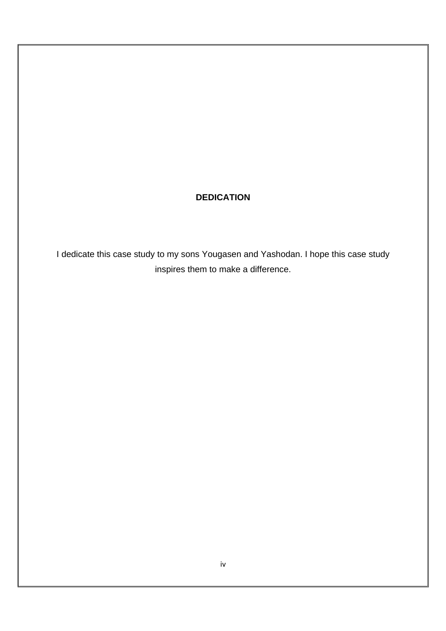### **DEDICATION**

I dedicate this case study to my sons Yougasen and Yashodan. I hope this case study inspires them to make a difference.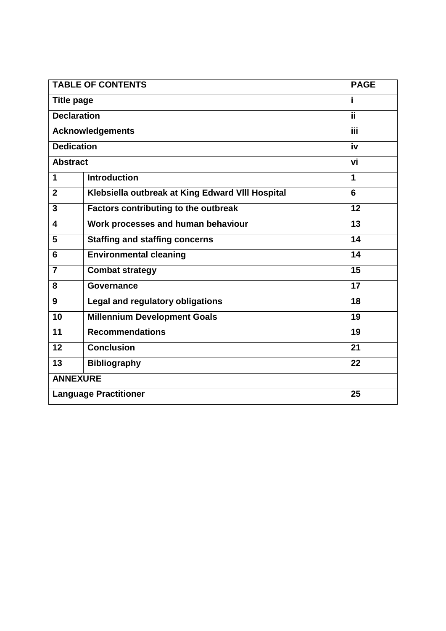| <b>TABLE OF CONTENTS</b>     |                                                  | <b>PAGE</b>    |
|------------------------------|--------------------------------------------------|----------------|
| <b>Title page</b>            |                                                  | i.             |
| <b>Declaration</b>           |                                                  | ii.            |
| <b>Acknowledgements</b>      |                                                  | Ϊii            |
| <b>Dedication</b>            |                                                  | iv             |
| <b>Abstract</b>              |                                                  | vi             |
| 1                            | <b>Introduction</b>                              | $\mathbf{1}$   |
| $\overline{2}$               | Klebsiella outbreak at King Edward VIII Hospital | $6\phantom{1}$ |
| 3                            | Factors contributing to the outbreak             | 12             |
| $\overline{\mathbf{4}}$      | Work processes and human behaviour               | 13             |
| 5                            | <b>Staffing and staffing concerns</b>            | 14             |
| $6\phantom{1}$               | <b>Environmental cleaning</b>                    | 14             |
| $\overline{7}$               | <b>Combat strategy</b>                           | 15             |
| 8                            | Governance                                       | 17             |
| 9                            | <b>Legal and regulatory obligations</b>          | 18             |
| 10                           | <b>Millennium Development Goals</b>              | 19             |
| 11                           | <b>Recommendations</b>                           | 19             |
| 12                           | <b>Conclusion</b>                                | 21             |
| 13                           | <b>Bibliography</b>                              | 22             |
| <b>ANNEXURE</b>              |                                                  |                |
| <b>Language Practitioner</b> |                                                  | 25             |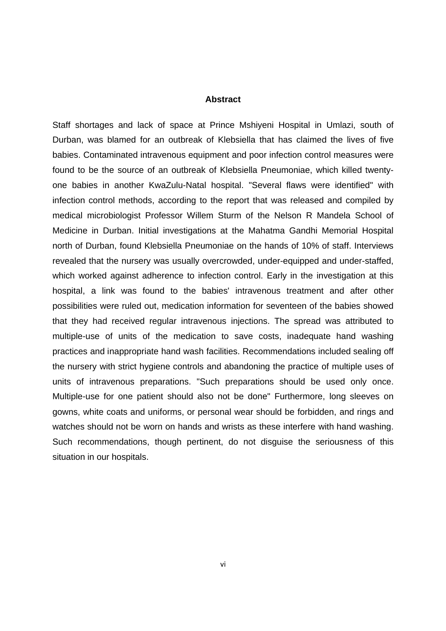#### **Abstract**

Staff shortages and lack of space at Prince Mshiyeni Hospital in Umlazi, south of Durban, was blamed for an outbreak of Klebsiella that has claimed the lives of five babies. Contaminated intravenous equipment and poor infection control measures were found to be the source of an outbreak of Klebsiella Pneumoniae, which killed twentyone babies in another KwaZulu-Natal hospital. "Several flaws were identified" with infection control methods, according to the report that was released and compiled by medical microbiologist Professor Willem Sturm of the Nelson R Mandela School of Medicine in Durban. Initial investigations at the Mahatma Gandhi Memorial Hospital north of Durban, found Klebsiella Pneumoniae on the hands of 10% of staff. Interviews revealed that the nursery was usually overcrowded, under-equipped and under-staffed, which worked against adherence to infection control. Early in the investigation at this hospital, a link was found to the babies' intravenous treatment and after other possibilities were ruled out, medication information for seventeen of the babies showed that they had received regular intravenous injections. The spread was attributed to multiple-use of units of the medication to save costs, inadequate hand washing practices and inappropriate hand wash facilities. Recommendations included sealing off the nursery with strict hygiene controls and abandoning the practice of multiple uses of units of intravenous preparations. "Such preparations should be used only once. Multiple-use for one patient should also not be done" Furthermore, long sleeves on gowns, white coats and uniforms, or personal wear should be forbidden, and rings and watches should not be worn on hands and wrists as these interfere with hand washing. Such recommendations, though pertinent, do not disguise the seriousness of this situation in our hospitals.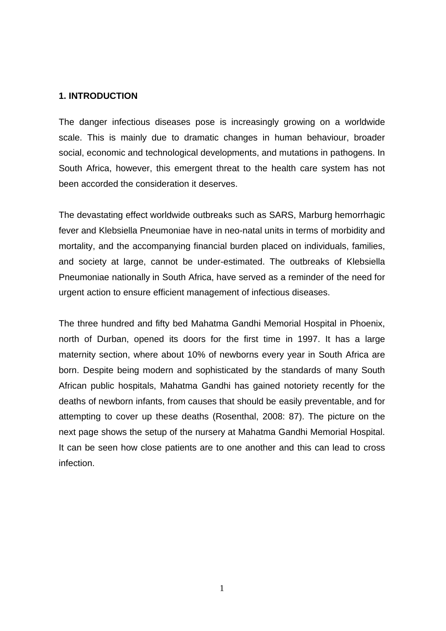#### **1. INTRODUCTION**

The danger infectious diseases pose is increasingly growing on a worldwide scale. This is mainly due to dramatic changes in human behaviour, broader social, economic and technological developments, and mutations in pathogens. In South Africa, however, this emergent threat to the health care system has not been accorded the consideration it deserves.

The devastating effect worldwide outbreaks such as SARS, Marburg hemorrhagic fever and Klebsiella Pneumoniae have in neo-natal units in terms of morbidity and mortality, and the accompanying financial burden placed on individuals, families, and society at large, cannot be under-estimated. The outbreaks of Klebsiella Pneumoniae nationally in South Africa, have served as a reminder of the need for urgent action to ensure efficient management of infectious diseases.

The three hundred and fifty bed Mahatma Gandhi Memorial Hospital in Phoenix, north of Durban, opened its doors for the first time in 1997. It has a large maternity section, where about 10% of newborns every year in South Africa are born. Despite being modern and sophisticated by the standards of many South African public hospitals, Mahatma Gandhi has gained notoriety recently for the deaths of newborn infants, from causes that should be easily preventable, and for attempting to cover up these deaths (Rosenthal, 2008: 87). The picture on the next page shows the setup of the nursery at Mahatma Gandhi Memorial Hospital. It can be seen how close patients are to one another and this can lead to cross infection.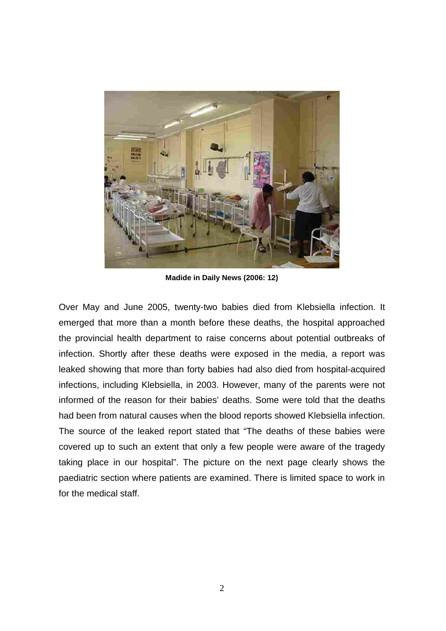

**Madide in Daily News (2006: 12)**

Over May and June 2005, twenty-two babies died from Klebsiella infection. It emerged that more than a month before these deaths, the hospital approached the provincial health department to raise concerns about potential outbreaks of infection. Shortly after these deaths were exposed in the media, a report was leaked showing that more than forty babies had also died from hospital-acquired infections, including Klebsiella, in 2003. However, many of the parents were not informed of the reason for their babies' deaths. Some were told that the deaths had been from natural causes when the blood reports showed Klebsiella infection. The source of the leaked report stated that "The deaths of these babies were covered up to such an extent that only a few people were aware of the tragedy taking place in our hospital". The picture on the next page clearly shows the paediatric section where patients are examined. There is limited space to work in for the medical staff.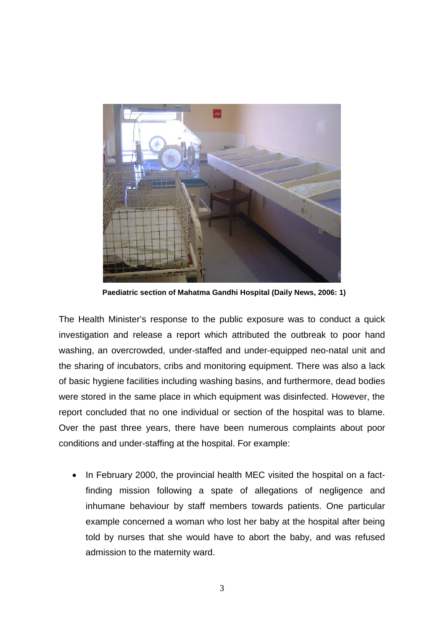

 **Paediatric section of Mahatma Gandhi Hospital (Daily News, 2006: 1)**

The Health Minister's response to the public exposure was to conduct a quick investigation and release a report which attributed the outbreak to poor hand washing, an overcrowded, under-staffed and under-equipped neo-natal unit and the sharing of incubators, cribs and monitoring equipment. There was also a lack of basic hygiene facilities including washing basins, and furthermore, dead bodies were stored in the same place in which equipment was disinfected. However, the report concluded that no one individual or section of the hospital was to blame. Over the past three years, there have been numerous complaints about poor conditions and under-staffing at the hospital. For example:

 In February 2000, the provincial health MEC visited the hospital on a factfinding mission following a spate of allegations of negligence and inhumane behaviour by staff members towards patients. One particular example concerned a woman who lost her baby at the hospital after being told by nurses that she would have to abort the baby, and was refused admission to the maternity ward.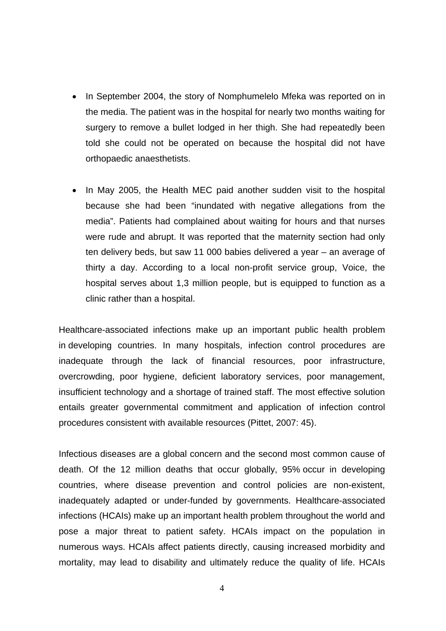- In September 2004, the story of Nomphumelelo Mfeka was reported on in the media. The patient was in the hospital for nearly two months waiting for surgery to remove a bullet lodged in her thigh. She had repeatedly been told she could not be operated on because the hospital did not have orthopaedic anaesthetists.
- In May 2005, the Health MEC paid another sudden visit to the hospital because she had been "inundated with negative allegations from the media". Patients had complained about waiting for hours and that nurses were rude and abrupt. It was reported that the maternity section had only ten delivery beds, but saw 11 000 babies delivered a year – an average of thirty a day. According to a local non-profit service group, Voice, the hospital serves about 1,3 million people, but is equipped to function as a clinic rather than a hospital.

Healthcare-associated infections make up an important public health problem in developing countries. In many hospitals, infection control procedures are inadequate through the lack of financial resources, poor infrastructure, overcrowding, poor hygiene, deficient laboratory services, poor management, insufficient technology and a shortage of trained staff. The most effective solution entails greater governmental commitment and application of infection control procedures consistent with available resources (Pittet, 2007: 45).

Infectious diseases are a global concern and the second most common cause of death. Of the 12 million deaths that occur globally, 95% occur in developing countries, where disease prevention and control policies are non-existent, inadequately adapted or under-funded by governments. Healthcare-associated infections (HCAIs) make up an important health problem throughout the world and pose a major threat to patient safety. HCAIs impact on the population in numerous ways. HCAIs affect patients directly, causing increased morbidity and mortality, may lead to disability and ultimately reduce the quality of life. HCAIs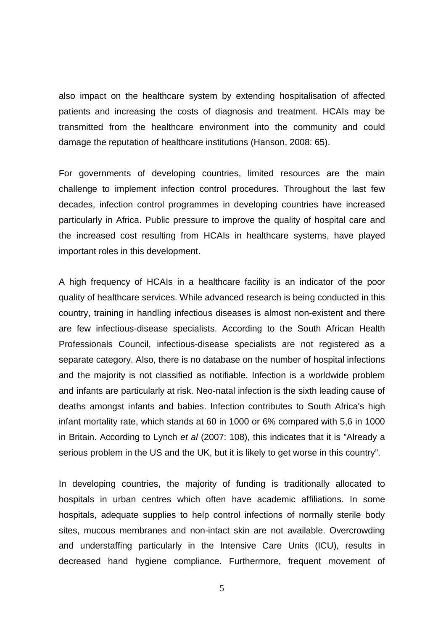also impact on the healthcare system by extending hospitalisation of affected patients and increasing the costs of diagnosis and treatment. HCAIs may be transmitted from the healthcare environment into the community and could damage the reputation of healthcare institutions (Hanson, 2008: 65).

For governments of developing countries, limited resources are the main challenge to implement infection control procedures. Throughout the last few decades, infection control programmes in developing countries have increased particularly in Africa. Public pressure to improve the quality of hospital care and the increased cost resulting from HCAIs in healthcare systems, have played important roles in this development.

A high frequency of HCAIs in a healthcare facility is an indicator of the poor quality of healthcare services. While advanced research is being conducted in this country, training in handling infectious diseases is almost non-existent and there are few infectious-disease specialists. According to the South African Health Professionals Council, infectious-disease specialists are not registered as a separate category. Also, there is no database on the number of hospital infections and the majority is not classified as notifiable. Infection is a worldwide problem and infants are particularly at risk. Neo-natal infection is the sixth leading cause of deaths amongst infants and babies. Infection contributes to South Africa's high infant mortality rate, which stands at 60 in 1000 or 6% compared with 5,6 in 1000 in Britain. According to Lynch *et al* (2007: 108), this indicates that it is "Already a serious problem in the US and the UK, but it is likely to get worse in this country".

In developing countries, the majority of funding is traditionally allocated to hospitals in urban centres which often have academic affiliations. In some hospitals, adequate supplies to help control infections of normally sterile body sites, mucous membranes and non-intact skin are not available. Overcrowding and understaffing particularly in the Intensive Care Units (ICU), results in decreased hand hygiene compliance. Furthermore, frequent movement of

5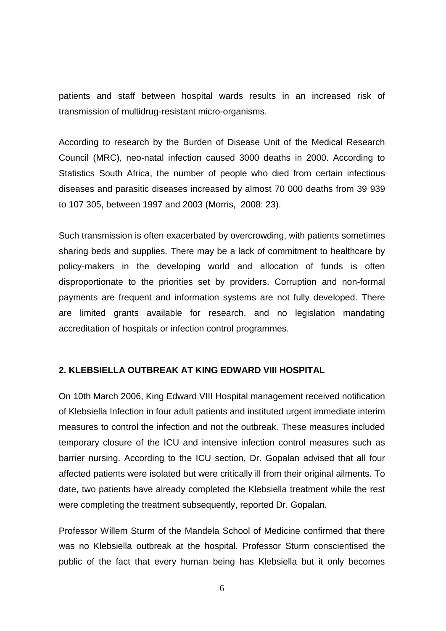patients and staff between hospital wards results in an increased risk of transmission of multidrug-resistant micro-organisms.

According to research by the Burden of Disease Unit of the Medical Research Council (MRC), neo-natal infection caused 3000 deaths in 2000. According to Statistics South Africa, the number of people who died from certain infectious diseases and parasitic diseases increased by almost 70 000 deaths from 39 939 to 107 305, between 1997 and 2003 (Morris, 2008: 23).

Such transmission is often exacerbated by overcrowding, with patients sometimes sharing beds and supplies. There may be a lack of commitment to healthcare by policy-makers in the developing world and allocation of funds is often disproportionate to the priorities set by providers. Corruption and non-formal payments are frequent and information systems are not fully developed. There are limited grants available for research, and no legislation mandating accreditation of hospitals or infection control programmes.

#### **2. KLEBSIELLA OUTBREAK AT KING EDWARD VIII HOSPITAL**

On 10th March 2006, King Edward VIII Hospital management received notification of Klebsiella Infection in four adult patients and instituted urgent immediate interim measures to control the infection and not the outbreak. These measures included temporary closure of the ICU and intensive infection control measures such as barrier nursing. According to the ICU section, Dr. Gopalan advised that all four affected patients were isolated but were critically ill from their original ailments. To date, two patients have already completed the Klebsiella treatment while the rest were completing the treatment subsequently, reported Dr. Gopalan.

Professor Willem Sturm of the Mandela School of Medicine confirmed that there was no Klebsiella outbreak at the hospital. Professor Sturm conscientised the public of the fact that every human being has Klebsiella but it only becomes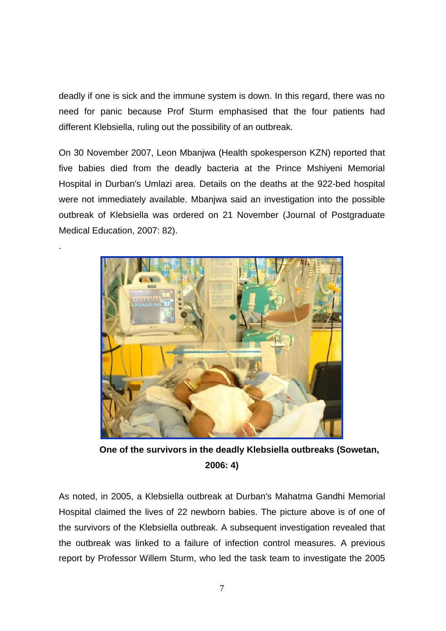deadly if one is sick and the immune system is down. In this regard, there was no need for panic because Prof Sturm emphasised that the four patients had different Klebsiella, ruling out the possibility of an outbreak.

On 30 November 2007, Leon Mbanjwa (Health spokesperson KZN) reported that five babies died from the deadly bacteria at the Prince Mshiyeni Memorial Hospital in Durban's Umlazi area. Details on the deaths at the 922-bed hospital were not immediately available. Mbanjwa said an investigation into the possible outbreak of Klebsiella was ordered on 21 November (Journal of Postgraduate Medical Education, 2007: 82).

.



 **One of the survivors in the deadly Klebsiella outbreaks (Sowetan, 2006: 4)**

As noted, in 2005, a Klebsiella outbreak at Durban's Mahatma Gandhi Memorial Hospital claimed the lives of 22 newborn babies. The picture above is of one of the survivors of the Klebsiella outbreak. A subsequent investigation revealed that the outbreak was linked to a failure of infection control measures. A previous report by Professor Willem Sturm, who led the task team to investigate the 2005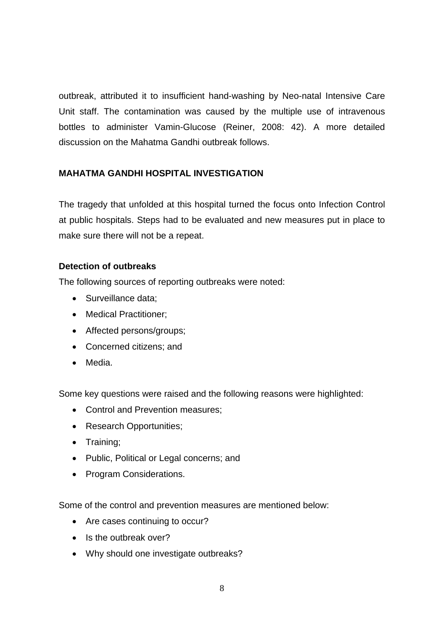outbreak, attributed it to insufficient hand-washing by Neo-natal Intensive Care Unit staff. The contamination was caused by the multiple use of intravenous bottles to administer Vamin-Glucose (Reiner, 2008: 42). A more detailed discussion on the Mahatma Gandhi outbreak follows.

### **MAHATMA GANDHI HOSPITAL INVESTIGATION**

The tragedy that unfolded at this hospital turned the focus onto Infection Control at public hospitals. Steps had to be evaluated and new measures put in place to make sure there will not be a repeat.

### **Detection of outbreaks**

The following sources of reporting outbreaks were noted:

- Surveillance data;
- Medical Practitioner;
- Affected persons/groups;
- Concerned citizens: and
- Media.

Some key questions were raised and the following reasons were highlighted:

- Control and Prevention measures;
- Research Opportunities;
- Training;
- Public, Political or Legal concerns; and
- Program Considerations.

Some of the control and prevention measures are mentioned below:

- Are cases continuing to occur?
- Is the outbreak over?
- Why should one investigate outbreaks?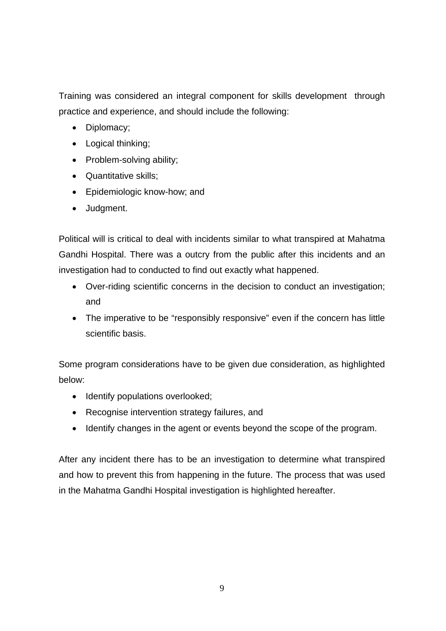Training was considered an integral component for skills development through practice and experience, and should include the following:

- Diplomacy;
- Logical thinking;
- Problem-solving ability;
- Quantitative skills;
- Epidemiologic know-how; and
- Judgment.

Political will is critical to deal with incidents similar to what transpired at Mahatma Gandhi Hospital. There was a outcry from the public after this incidents and an investigation had to conducted to find out exactly what happened.

- Over-riding scientific concerns in the decision to conduct an investigation; and
- The imperative to be "responsibly responsive" even if the concern has little scientific basis.

Some program considerations have to be given due consideration, as highlighted below:

- Identify populations overlooked;
- Recognise intervention strategy failures, and
- Identify changes in the agent or events beyond the scope of the program.

After any incident there has to be an investigation to determine what transpired and how to prevent this from happening in the future. The process that was used in the Mahatma Gandhi Hospital investigation is highlighted hereafter.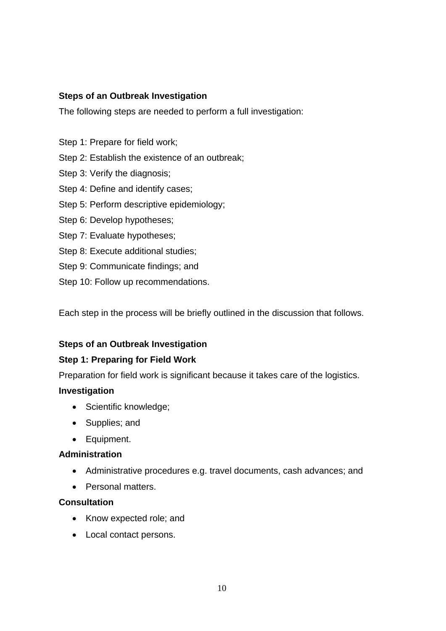### **Steps of an Outbreak Investigation**

The following steps are needed to perform a full investigation:

- Step 1: Prepare for field work;
- Step 2: Establish the existence of an outbreak;
- Step 3: Verify the diagnosis;
- Step 4: Define and identify cases;
- Step 5: Perform descriptive epidemiology;
- Step 6: Develop hypotheses;
- Step 7: Evaluate hypotheses;
- Step 8: Execute additional studies;
- Step 9: Communicate findings; and
- Step 10: Follow up recommendations.

Each step in the process will be briefly outlined in the discussion that follows.

### **Steps of an Outbreak Investigation**

### **Step 1: Preparing for Field Work**

Preparation for field work is significant because it takes care of the logistics.

#### **Investigation**

- Scientific knowledge;
- Supplies; and
- Equipment.

#### **Administration**

- Administrative procedures e.g. travel documents, cash advances; and
- Personal matters.

#### **Consultation**

- Know expected role; and
- Local contact persons.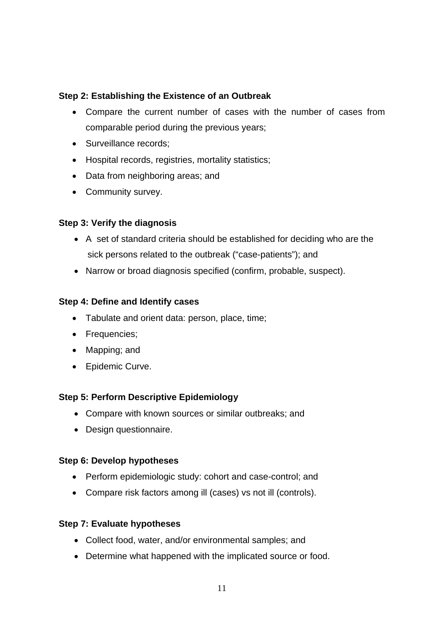### **Step 2: Establishing the Existence of an Outbreak**

- Compare the current number of cases with the number of cases from comparable period during the previous years;
- Surveillance records;
- Hospital records, registries, mortality statistics;
- Data from neighboring areas; and
- Community survey.

### **Step 3: Verify the diagnosis**

- A set of standard criteria should be established for deciding who are the sick persons related to the outbreak ("case-patients"); and
- Narrow or broad diagnosis specified (confirm, probable, suspect).

### **Step 4: Define and Identify cases**

- Tabulate and orient data: person, place, time;
- Frequencies;
- Mapping; and
- Epidemic Curve.

### **Step 5: Perform Descriptive Epidemiology**

- Compare with known sources or similar outbreaks; and
- Design questionnaire.

### **Step 6: Develop hypotheses**

- Perform epidemiologic study: cohort and case-control; and
- Compare risk factors among ill (cases) vs not ill (controls).

### **Step 7: Evaluate hypotheses**

- Collect food, water, and/or environmental samples; and
- Determine what happened with the implicated source or food.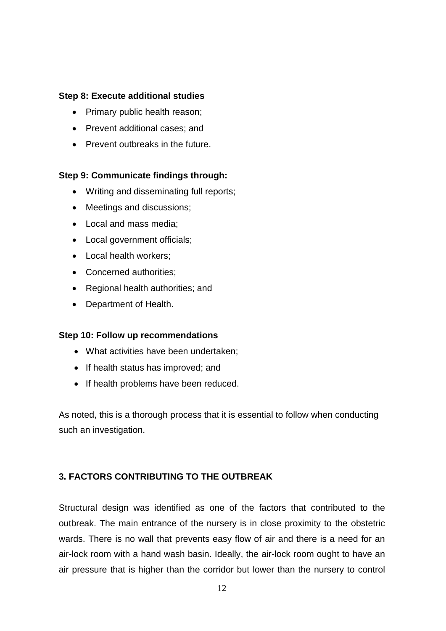#### **Step 8: Execute additional studies**

- Primary public health reason;
- Prevent additional cases: and
- Prevent outbreaks in the future.

### **Step 9: Communicate findings through:**

- Writing and disseminating full reports;
- Meetings and discussions;
- Local and mass media;
- Local government officials;
- Local health workers;
- Concerned authorities;
- Regional health authorities; and
- Department of Health.

#### **Step 10: Follow up recommendations**

- What activities have been undertaken;
- If health status has improved; and
- If health problems have been reduced.

As noted, this is a thorough process that it is essential to follow when conducting such an investigation.

### **3. FACTORS CONTRIBUTING TO THE OUTBREAK**

Structural design was identified as one of the factors that contributed to the outbreak. The main entrance of the nursery is in close proximity to the obstetric wards. There is no wall that prevents easy flow of air and there is a need for an air-lock room with a hand wash basin. Ideally, the air-lock room ought to have an air pressure that is higher than the corridor but lower than the nursery to control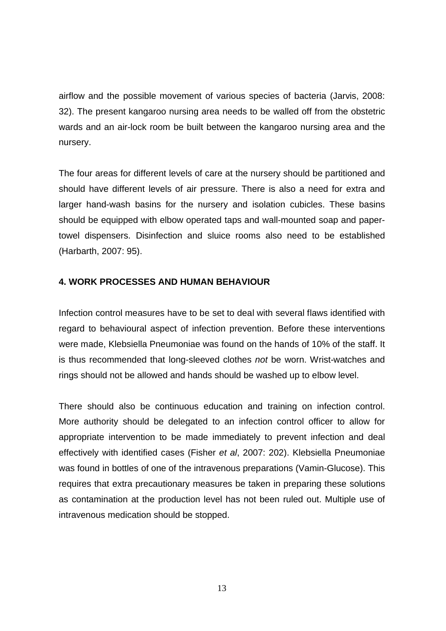airflow and the possible movement of various species of bacteria (Jarvis, 2008: 32). The present kangaroo nursing area needs to be walled off from the obstetric wards and an air-lock room be built between the kangaroo nursing area and the nursery.

The four areas for different levels of care at the nursery should be partitioned and should have different levels of air pressure. There is also a need for extra and larger hand-wash basins for the nursery and isolation cubicles. These basins should be equipped with elbow operated taps and wall-mounted soap and papertowel dispensers. Disinfection and sluice rooms also need to be established (Harbarth, 2007: 95).

#### **4. WORK PROCESSES AND HUMAN BEHAVIOUR**

Infection control measures have to be set to deal with several flaws identified with regard to behavioural aspect of infection prevention. Before these interventions were made, Klebsiella Pneumoniae was found on the hands of 10% of the staff. It is thus recommended that long-sleeved clothes *not* be worn. Wrist-watches and rings should not be allowed and hands should be washed up to elbow level.

There should also be continuous education and training on infection control. More authority should be delegated to an infection control officer to allow for appropriate intervention to be made immediately to prevent infection and deal effectively with identified cases (Fisher *et al*, 2007: 202). Klebsiella Pneumoniae was found in bottles of one of the intravenous preparations (Vamin-Glucose). This requires that extra precautionary measures be taken in preparing these solutions as contamination at the production level has not been ruled out. Multiple use of intravenous medication should be stopped.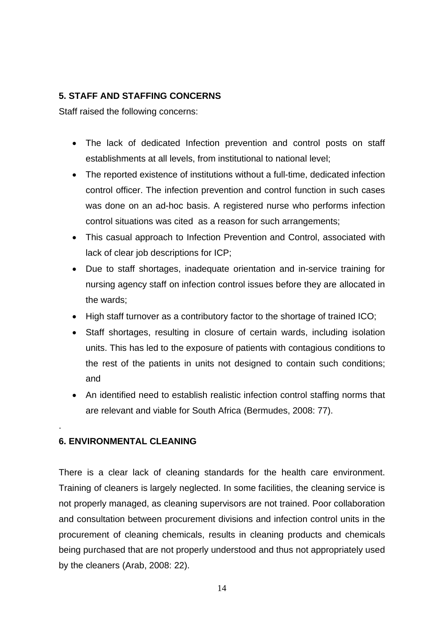### **5. STAFF AND STAFFING CONCERNS**

Staff raised the following concerns:

- The lack of dedicated Infection prevention and control posts on staff establishments at all levels, from institutional to national level;
- The reported existence of institutions without a full-time, dedicated infection control officer. The infection prevention and control function in such cases was done on an ad-hoc basis. A registered nurse who performs infection control situations was cited as a reason for such arrangements;
- This casual approach to Infection Prevention and Control, associated with lack of clear job descriptions for ICP;
- Due to staff shortages, inadequate orientation and in-service training for nursing agency staff on infection control issues before they are allocated in the wards;
- High staff turnover as a contributory factor to the shortage of trained ICO;
- Staff shortages, resulting in closure of certain wards, including isolation units. This has led to the exposure of patients with contagious conditions to the rest of the patients in units not designed to contain such conditions; and
- An identified need to establish realistic infection control staffing norms that are relevant and viable for South Africa (Bermudes, 2008: 77).

### **6. ENVIRONMENTAL CLEANING**

.

There is a clear lack of cleaning standards for the health care environment. Training of cleaners is largely neglected. In some facilities, the cleaning service is not properly managed, as cleaning supervisors are not trained. Poor collaboration and consultation between procurement divisions and infection control units in the procurement of cleaning chemicals, results in cleaning products and chemicals being purchased that are not properly understood and thus not appropriately used by the cleaners (Arab, 2008: 22).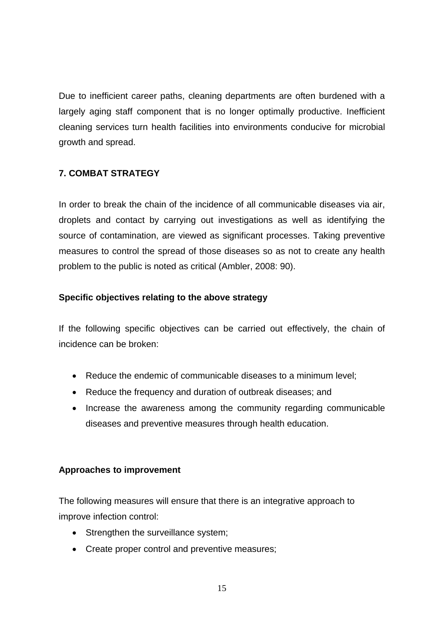Due to inefficient career paths, cleaning departments are often burdened with a largely aging staff component that is no longer optimally productive. Inefficient cleaning services turn health facilities into environments conducive for microbial growth and spread.

### **7. COMBAT STRATEGY**

In order to break the chain of the incidence of all communicable diseases via air, droplets and contact by carrying out investigations as well as identifying the source of contamination, are viewed as significant processes. Taking preventive measures to control the spread of those diseases so as not to create any health problem to the public is noted as critical (Ambler, 2008: 90).

### **Specific objectives relating to the above strategy**

If the following specific objectives can be carried out effectively, the chain of incidence can be broken:

- Reduce the endemic of communicable diseases to a minimum level:
- Reduce the frequency and duration of outbreak diseases; and
- Increase the awareness among the community regarding communicable diseases and preventive measures through health education.

### **Approaches to improvement**

The following measures will ensure that there is an integrative approach to improve infection control:

- Strengthen the surveillance system;
- Create proper control and preventive measures;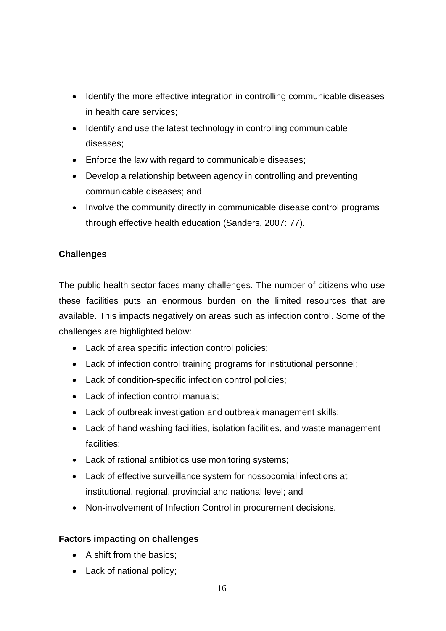- Identify the more effective integration in controlling communicable diseases in health care services;
- Identify and use the latest technology in controlling communicable diseases;
- Enforce the law with regard to communicable diseases;
- Develop a relationship between agency in controlling and preventing communicable diseases; and
- Involve the community directly in communicable disease control programs through effective health education (Sanders, 2007: 77).

## **Challenges**

The public health sector faces many challenges. The number of citizens who use these facilities puts an enormous burden on the limited resources that are available. This impacts negatively on areas such as infection control. Some of the challenges are highlighted below:

- Lack of area specific infection control policies;
- Lack of infection control training programs for institutional personnel;
- Lack of condition-specific infection control policies;
- Lack of infection control manuals;
- Lack of outbreak investigation and outbreak management skills;
- Lack of hand washing facilities, isolation facilities, and waste management facilities;
- Lack of rational antibiotics use monitoring systems;
- Lack of effective surveillance system for nossocomial infections at institutional, regional, provincial and national level; and
- Non-involvement of Infection Control in procurement decisions.

### **Factors impacting on challenges**

- A shift from the basics;
- Lack of national policy;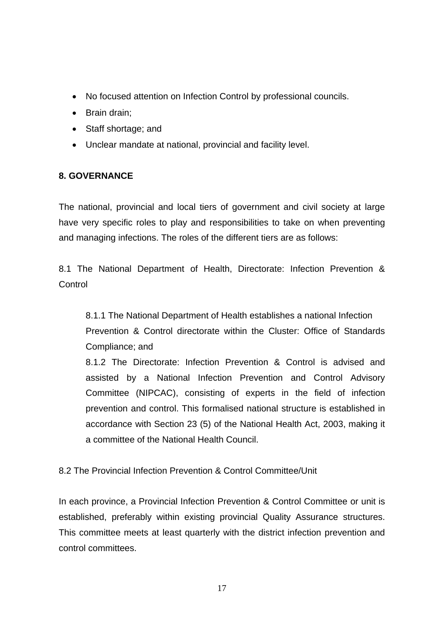- No focused attention on Infection Control by professional councils.
- Brain drain;
- Staff shortage; and
- Unclear mandate at national, provincial and facility level.

## **8. GOVERNANCE**

The national, provincial and local tiers of government and civil society at large have very specific roles to play and responsibilities to take on when preventing and managing infections. The roles of the different tiers are as follows:

8.1 The National Department of Health, Directorate: Infection Prevention & Control

8.1.1 The National Department of Health establishes a national Infection Prevention & Control directorate within the Cluster: Office of Standards Compliance; and

8.1.2 The Directorate: Infection Prevention & Control is advised and assisted by a National Infection Prevention and Control Advisory Committee (NIPCAC), consisting of experts in the field of infection prevention and control. This formalised national structure is established in accordance with Section 23 (5) of the National Health Act, 2003, making it a committee of the National Health Council.

8.2 The Provincial Infection Prevention & Control Committee/Unit

In each province, a Provincial Infection Prevention & Control Committee or unit is established, preferably within existing provincial Quality Assurance structures. This committee meets at least quarterly with the district infection prevention and control committees.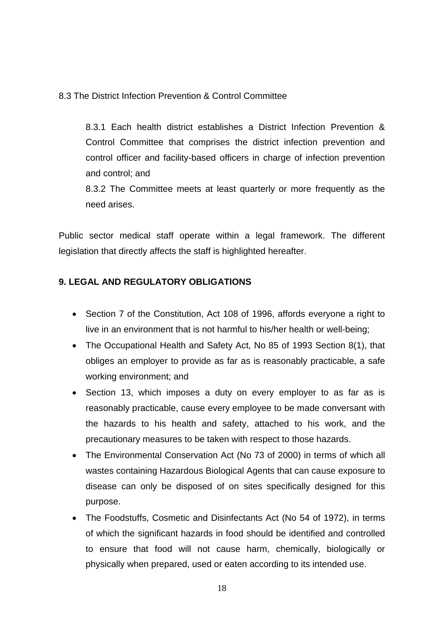8.3 The District Infection Prevention & Control Committee

8.3.1 Each health district establishes a District Infection Prevention & Control Committee that comprises the district infection prevention and control officer and facility-based officers in charge of infection prevention and control; and

8.3.2 The Committee meets at least quarterly or more frequently as the need arises.

Public sector medical staff operate within a legal framework. The different legislation that directly affects the staff is highlighted hereafter.

### **9. LEGAL AND REGULATORY OBLIGATIONS**

- Section 7 of the Constitution, Act 108 of 1996, affords everyone a right to live in an environment that is not harmful to his/her health or well-being;
- The Occupational Health and Safety Act, No 85 of 1993 Section 8(1), that obliges an employer to provide as far as is reasonably practicable, a safe working environment; and
- Section 13, which imposes a duty on every employer to as far as is reasonably practicable, cause every employee to be made conversant with the hazards to his health and safety, attached to his work, and the precautionary measures to be taken with respect to those hazards.
- The Environmental Conservation Act (No 73 of 2000) in terms of which all wastes containing Hazardous Biological Agents that can cause exposure to disease can only be disposed of on sites specifically designed for this purpose.
- The Foodstuffs, Cosmetic and Disinfectants Act (No 54 of 1972), in terms of which the significant hazards in food should be identified and controlled to ensure that food will not cause harm, chemically, biologically or physically when prepared, used or eaten according to its intended use.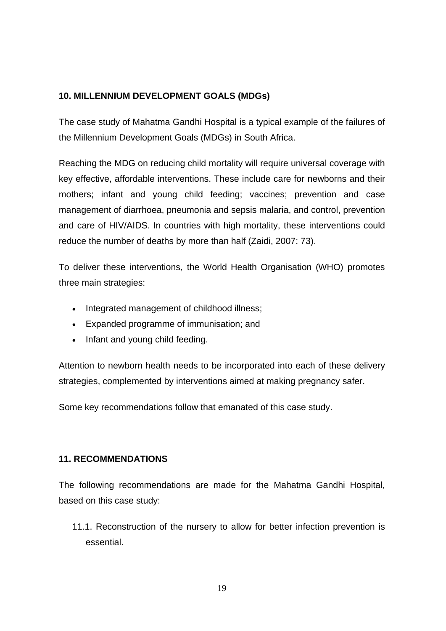## **10. MILLENNIUM DEVELOPMENT GOALS (MDGs)**

The case study of Mahatma Gandhi Hospital is a typical example of the failures of the Millennium Development Goals (MDGs) in South Africa.

Reaching the MDG on reducing child mortality will require universal coverage with key effective, affordable interventions. These include care for newborns and their mothers; infant and young child feeding; vaccines; prevention and case management of diarrhoea, pneumonia and sepsis malaria, and control, prevention and care of HIV/AIDS. In countries with high mortality, these interventions could reduce the number of deaths by more than half (Zaidi, 2007: 73).

To deliver these interventions, the World Health Organisation (WHO) promotes three main strategies:

- Integrated management of childhood illness;
- Expanded programme of immunisation; and
- Infant and young child feeding.

Attention to newborn health needs to be incorporated into each of these delivery strategies, complemented by interventions aimed at making pregnancy safer.

Some key recommendations follow that emanated of this case study.

### **11. RECOMMENDATIONS**

The following recommendations are made for the Mahatma Gandhi Hospital, based on this case study:

11.1. Reconstruction of the nursery to allow for better infection prevention is essential.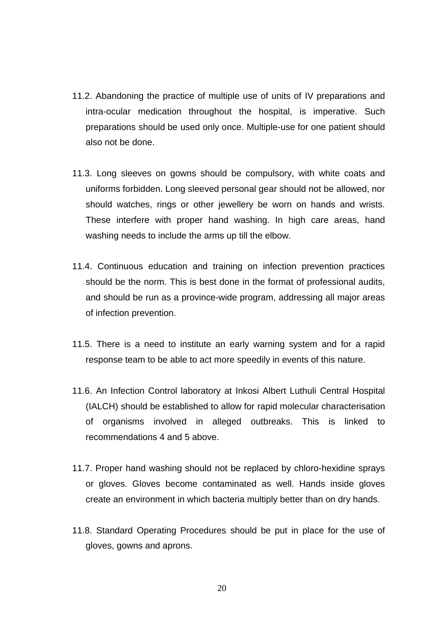- 11.2. Abandoning the practice of multiple use of units of IV preparations and intra-ocular medication throughout the hospital, is imperative. Such preparations should be used only once. Multiple-use for one patient should also not be done.
- 11.3. Long sleeves on gowns should be compulsory, with white coats and uniforms forbidden. Long sleeved personal gear should not be allowed, nor should watches, rings or other jewellery be worn on hands and wrists. These interfere with proper hand washing. In high care areas, hand washing needs to include the arms up till the elbow.
- 11.4. Continuous education and training on infection prevention practices should be the norm. This is best done in the format of professional audits, and should be run as a province-wide program, addressing all major areas of infection prevention.
- 11.5. There is a need to institute an early warning system and for a rapid response team to be able to act more speedily in events of this nature.
- 11.6. An Infection Control laboratory at Inkosi Albert Luthuli Central Hospital (IALCH) should be established to allow for rapid molecular characterisation of organisms involved in alleged outbreaks. This is linked to recommendations 4 and 5 above.
- 11.7. Proper hand washing should not be replaced by chloro-hexidine sprays or gloves. Gloves become contaminated as well. Hands inside gloves create an environment in which bacteria multiply better than on dry hands.
- 11.8. Standard Operating Procedures should be put in place for the use of gloves, gowns and aprons.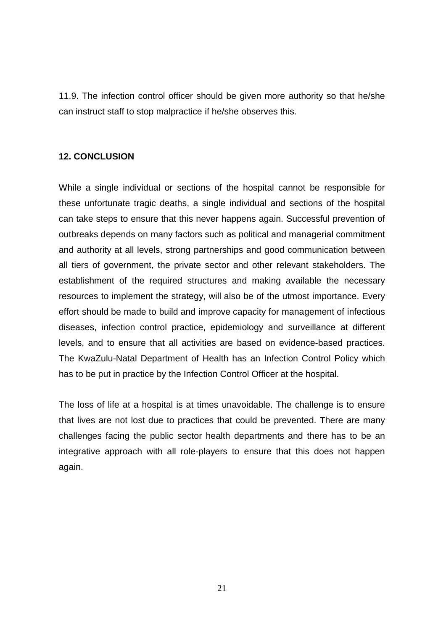11.9. The infection control officer should be given more authority so that he/she can instruct staff to stop malpractice if he/she observes this.

#### **12. CONCLUSION**

While a single individual or sections of the hospital cannot be responsible for these unfortunate tragic deaths, a single individual and sections of the hospital can take steps to ensure that this never happens again. Successful prevention of outbreaks depends on many factors such as political and managerial commitment and authority at all levels, strong partnerships and good communication between all tiers of government, the private sector and other relevant stakeholders. The establishment of the required structures and making available the necessary resources to implement the strategy, will also be of the utmost importance. Every effort should be made to build and improve capacity for management of infectious diseases, infection control practice, epidemiology and surveillance at different levels, and to ensure that all activities are based on evidence-based practices. The KwaZulu-Natal Department of Health has an Infection Control Policy which has to be put in practice by the Infection Control Officer at the hospital.

The loss of life at a hospital is at times unavoidable. The challenge is to ensure that lives are not lost due to practices that could be prevented. There are many challenges facing the public sector health departments and there has to be an integrative approach with all role-players to ensure that this does not happen again.

21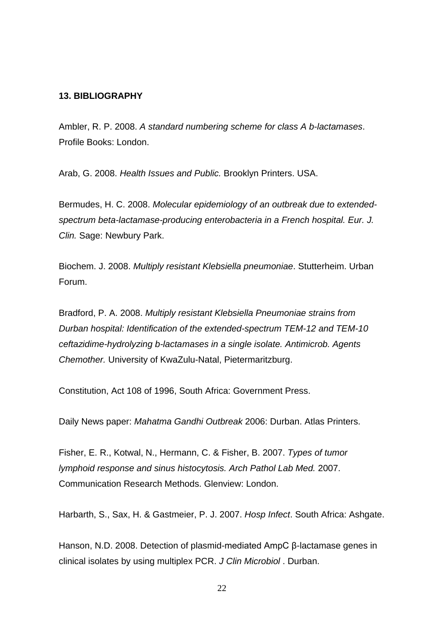#### **13. BIBLIOGRAPHY**

Ambler, R. P. 2008. *A standard numbering scheme for class A b-lactamases*. Profile Books: London.

Arab, G. 2008. *Health Issues and Public.* Brooklyn Printers. USA.

Bermudes, H. C. 2008. *Molecular epidemiology of an outbreak due to extendedspectrum beta-lactamase-producing enterobacteria in a French hospital. Eur. J. Clin.* Sage: Newbury Park.

Biochem. J. 2008. *Multiply resistant Klebsiella pneumoniae*. Stutterheim. Urban Forum.

Bradford, P. A. 2008. *Multiply resistant Klebsiella Pneumoniae strains from Durban hospital: Identification of the extended-spectrum TEM-12 and TEM-10 ceftazidime-hydrolyzing b-lactamases in a single isolate. Antimicrob. Agents Chemother.* University of KwaZulu-Natal, Pietermaritzburg.

Constitution, Act 108 of 1996, South Africa: Government Press.

Daily News paper: *Mahatma Gandhi Outbreak* 2006: Durban. Atlas Printers.

Fisher, E. R., Kotwal, N., Hermann, C. & Fisher, B. 2007. *Types of tumor lymphoid response and sinus histocytosis. Arch Pathol Lab Med.* 2007. Communication Research Methods. Glenview: London.

Harbarth, S., Sax, H. & Gastmeier, P. J. 2007. *Hosp Infect*. South Africa: Ashgate.

Hanson, N.D. 2008. Detection of plasmid-mediated AmpC β-lactamase genes in clinical isolates by using multiplex PCR. *J Clin Microbiol* . Durban.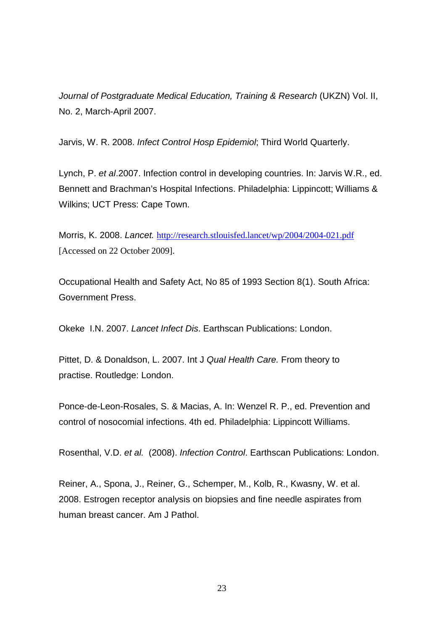*Journal of Postgraduate Medical Education, Training & Research* (UKZN) Vol. II, No. 2, March-April 2007.

Jarvis, W. R. 2008. *Infect Control Hosp Epidemiol*; Third World Quarterly.

Lynch, P. *et al*.2007. Infection control in developing countries. In: Jarvis W.R., ed. Bennett and Brachman's Hospital Infections. Philadelphia: Lippincott; Williams & Wilkins; UCT Press: Cape Town.

Morris, K. 2008. *Lancet.* http://research.stlouisfed.lancet/wp/2004/2004-021.pdf [Accessed on 22 October 2009].

Occupational Health and Safety Act, No 85 of 1993 Section 8(1). South Africa: Government Press.

Okeke I.N. 2007. *Lancet Infect Dis*. Earthscan Publications: London.

Pittet, D. & Donaldson, L. 2007. Int J *Qual Health Care.* From theory to practise. Routledge: London.

Ponce-de-Leon-Rosales, S. & Macias, A. In: Wenzel R. P., ed. Prevention and control of nosocomial infections. 4th ed. Philadelphia: Lippincott Williams.

Rosenthal, V.D. *et al.* (2008). *Infection Control*. Earthscan Publications: London.

Reiner, A., Spona, J., Reiner, G., Schemper, M., Kolb, R., Kwasny, W. et al. 2008. Estrogen receptor analysis on biopsies and fine needle aspirates from human breast cancer. Am J Pathol.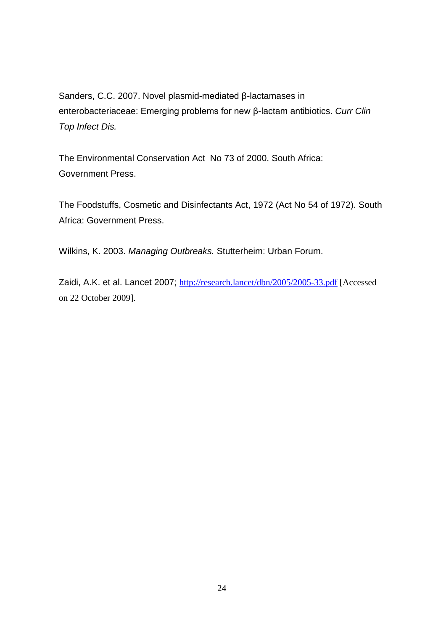Sanders, C.C. 2007. Novel plasmid-mediated β-lactamases in enterobacteriaceae: Emerging problems for new β-lactam antibiotics. *Curr Clin Top Infect Dis.* 

The Environmental Conservation Act No 73 of 2000. South Africa: Government Press.

The Foodstuffs, Cosmetic and Disinfectants Act, 1972 (Act No 54 of 1972). South Africa: Government Press.

Wilkins, K. 2003. *Managing Outbreaks.* Stutterheim: Urban Forum.

Zaidi, A.K. et al. Lancet 2007; http://research.lancet/dbn/2005/2005-33.pdf [Accessed on 22 October 2009].